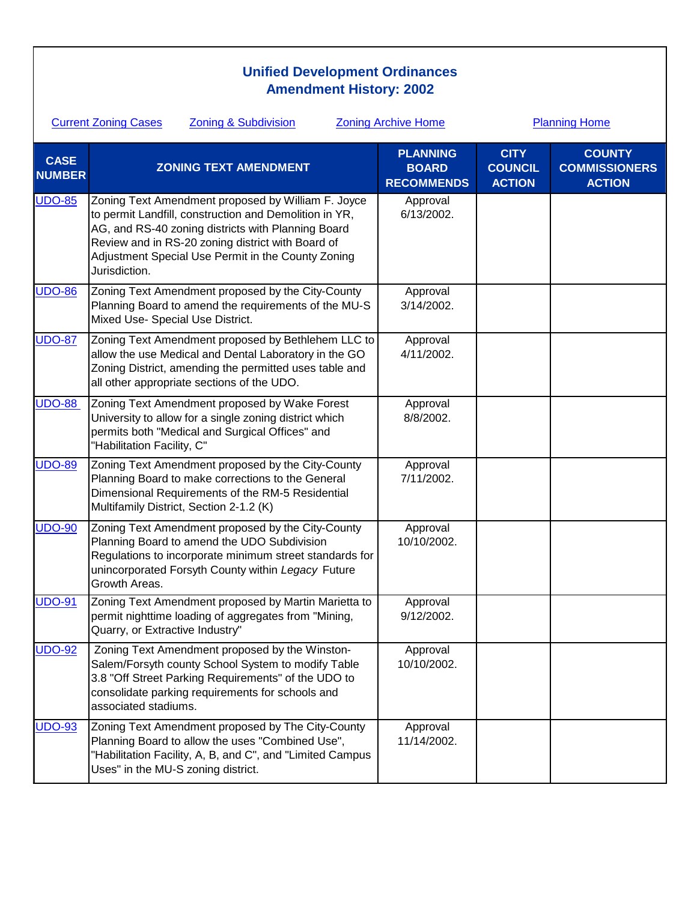## **Unified Development Ordinances Amendment History: 2002**

| <b>Current Zoning Cases</b><br><b>Zoning &amp; Subdivision</b> |                                                                                                                                                                                                                                                                                                | <b>Zoning Archive Home</b><br><b>Planning Home</b>   |                                                |                                                        |
|----------------------------------------------------------------|------------------------------------------------------------------------------------------------------------------------------------------------------------------------------------------------------------------------------------------------------------------------------------------------|------------------------------------------------------|------------------------------------------------|--------------------------------------------------------|
| <b>CASE</b><br><b>NUMBER</b>                                   | <b>ZONING TEXT AMENDMENT</b>                                                                                                                                                                                                                                                                   | <b>PLANNING</b><br><b>BOARD</b><br><b>RECOMMENDS</b> | <b>CITY</b><br><b>COUNCIL</b><br><b>ACTION</b> | <b>COUNTY</b><br><b>COMMISSIONERS</b><br><b>ACTION</b> |
| <b>UDO-85</b>                                                  | Zoning Text Amendment proposed by William F. Joyce<br>to permit Landfill, construction and Demolition in YR,<br>AG, and RS-40 zoning districts with Planning Board<br>Review and in RS-20 zoning district with Board of<br>Adjustment Special Use Permit in the County Zoning<br>Jurisdiction. | Approval<br>6/13/2002.                               |                                                |                                                        |
| <b>UDO-86</b>                                                  | Zoning Text Amendment proposed by the City-County<br>Planning Board to amend the requirements of the MU-S<br>Mixed Use- Special Use District.                                                                                                                                                  | Approval<br>3/14/2002.                               |                                                |                                                        |
| <b>UDO-87</b>                                                  | Zoning Text Amendment proposed by Bethlehem LLC to<br>allow the use Medical and Dental Laboratory in the GO<br>Zoning District, amending the permitted uses table and<br>all other appropriate sections of the UDO.                                                                            | Approval<br>4/11/2002.                               |                                                |                                                        |
| <b>UDO-88</b>                                                  | Zoning Text Amendment proposed by Wake Forest<br>University to allow for a single zoning district which<br>permits both "Medical and Surgical Offices" and<br>"Habilitation Facility, C"                                                                                                       | Approval<br>8/8/2002.                                |                                                |                                                        |
| <b>UDO-89</b>                                                  | Zoning Text Amendment proposed by the City-County<br>Planning Board to make corrections to the General<br>Dimensional Requirements of the RM-5 Residential<br>Multifamily District, Section 2-1.2 (K)                                                                                          | Approval<br>7/11/2002.                               |                                                |                                                        |
| <b>UDO-90</b>                                                  | Zoning Text Amendment proposed by the City-County<br>Planning Board to amend the UDO Subdivision<br>Regulations to incorporate minimum street standards for<br>unincorporated Forsyth County within Legacy Future<br>Growth Areas.                                                             | Approval<br>10/10/2002.                              |                                                |                                                        |
| <b>UDO-91</b>                                                  | Zoning Text Amendment proposed by Martin Marietta to<br>permit nighttime loading of aggregates from "Mining,<br>Quarry, or Extractive Industry"                                                                                                                                                | Approval<br>9/12/2002.                               |                                                |                                                        |
| <b>UDO-92</b>                                                  | Zoning Text Amendment proposed by the Winston-<br>Salem/Forsyth county School System to modify Table<br>3.8 "Off Street Parking Requirements" of the UDO to<br>consolidate parking requirements for schools and<br>associated stadiums.                                                        | Approval<br>10/10/2002.                              |                                                |                                                        |
| <b>UDO-93</b>                                                  | Zoning Text Amendment proposed by The City-County<br>Planning Board to allow the uses "Combined Use",<br>"Habilitation Facility, A, B, and C", and "Limited Campus<br>Uses" in the MU-S zoning district.                                                                                       | Approval<br>11/14/2002.                              |                                                |                                                        |